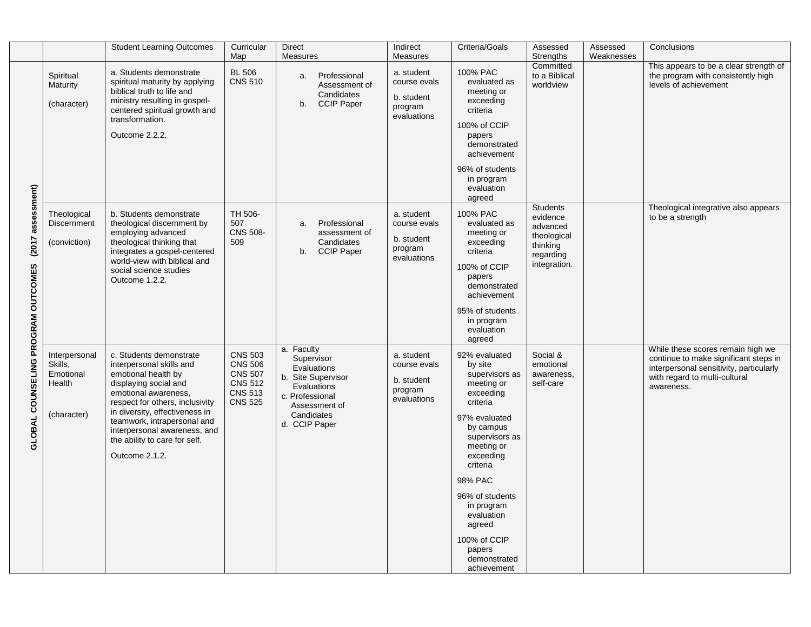|                                                             |                                                                | <b>Student Learning Outcomes</b>                                                                                                                                                                                                                                                                                   | Curricular<br>Map                                                                                        | <b>Direct</b><br>Measures                                                                                                                       | Indirect<br>Measures                                               | Criteria/Goals                                                                                                                                                                                                                                                                                        | Assessed<br>Strengths                                                                           | Assessed<br>Weaknesses | Conclusions                                                                                                                                                          |
|-------------------------------------------------------------|----------------------------------------------------------------|--------------------------------------------------------------------------------------------------------------------------------------------------------------------------------------------------------------------------------------------------------------------------------------------------------------------|----------------------------------------------------------------------------------------------------------|-------------------------------------------------------------------------------------------------------------------------------------------------|--------------------------------------------------------------------|-------------------------------------------------------------------------------------------------------------------------------------------------------------------------------------------------------------------------------------------------------------------------------------------------------|-------------------------------------------------------------------------------------------------|------------------------|----------------------------------------------------------------------------------------------------------------------------------------------------------------------|
| assessment)<br>(2017)<br>GLOBAL COUNSELING PROGRAM OUTCOMES | Spiritual<br>Maturity<br>(character)                           | a. Students demonstrate<br>spiritual maturity by applying<br>biblical truth to life and<br>ministry resulting in gospel-<br>centered spiritual growth and<br>transformation.<br>Outcome 2.2.2.                                                                                                                     | <b>BL 506</b><br><b>CNS 510</b>                                                                          | Professional<br>a.<br>Assessment of<br>Candidates<br><b>CCIP Paper</b><br>b.                                                                    | a. student<br>course evals<br>b. student<br>program<br>evaluations | 100% PAC<br>evaluated as<br>meeting or<br>exceeding<br>criteria<br>100% of CCIP<br>papers<br>demonstrated<br>achievement<br>96% of students<br>in program<br>evaluation                                                                                                                               | Committed<br>to a Biblical<br>worldview                                                         |                        | This appears to be a clear strength of<br>the program with consistently high<br>levels of achievement                                                                |
|                                                             | Theological<br><b>Discernment</b><br>(conviction)              | b. Students demonstrate<br>theological discernment by<br>employing advanced<br>theological thinking that<br>integrates a gospel-centered<br>world-view with biblical and<br>social science studies<br>Outcome 1.2.2.                                                                                               | TH 506-<br>507<br><b>CNS 508-</b><br>509                                                                 | Professional<br>a.<br>assessment of<br>Candidates<br><b>CCIP Paper</b><br>b.                                                                    | a. student<br>course evals<br>b. student<br>program<br>evaluations | agreed<br>100% PAC<br>evaluated as<br>meeting or<br>exceeding<br>criteria<br>100% of CCIP<br>papers<br>demonstrated<br>achievement<br>95% of students<br>in program<br>evaluation<br>agreed                                                                                                           | <b>Students</b><br>evidence<br>advanced<br>theological<br>thinking<br>regarding<br>integration. |                        | Theological integrative also appears<br>to be a strength                                                                                                             |
|                                                             | Interpersonal<br>Skills,<br>Emotional<br>Health<br>(character) | c. Students demonstrate<br>interpersonal skills and<br>emotional health by<br>displaying social and<br>emotional awareness,<br>respect for others, inclusivity<br>in diversity, effectiveness in<br>teamwork, intrapersonal and<br>interpersonal awareness, and<br>the ability to care for self.<br>Outcome 2.1.2. | <b>CNS 503</b><br><b>CNS 506</b><br><b>CNS 507</b><br><b>CNS 512</b><br><b>CNS 513</b><br><b>CNS 525</b> | a. Faculty<br>Supervisor<br>Evaluations<br>b. Site Supervisor<br>Evaluations<br>c. Professional<br>Assessment of<br>Candidates<br>d. CCIP Paper | a. student<br>course evals<br>b. student<br>program<br>evaluations | 92% evaluated<br>by site<br>supervisors as<br>meeting or<br>exceeding<br>criteria<br>97% evaluated<br>by campus<br>supervisors as<br>meeting or<br>exceeding<br>criteria<br>98% PAC<br>96% of students<br>in program<br>evaluation<br>agreed<br>100% of CCIP<br>papers<br>demonstrated<br>achievement | Social &<br>emotional<br>awareness,<br>self-care                                                |                        | While these scores remain high we<br>continue to make significant steps in<br>interpersonal sensitivity, particularly<br>with regard to multi-cultural<br>awareness. |